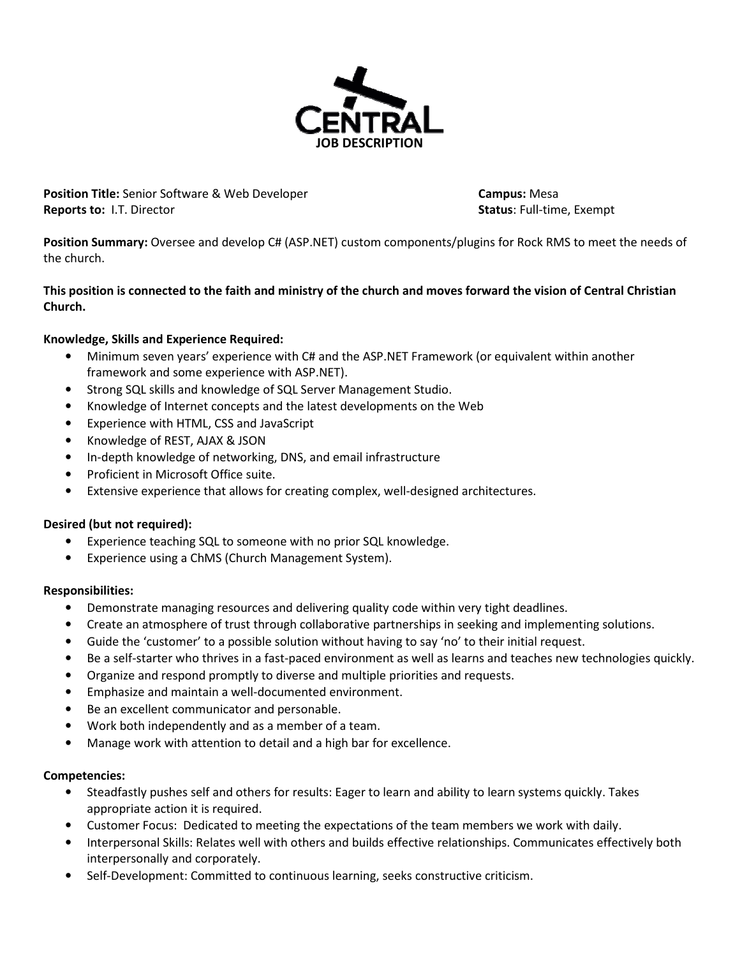

Position Title: Senior Software & Web Developer Campus: Mesa Reports to: I.T. Director Status: Full-time, Exempt

Position Summary: Oversee and develop C# (ASP.NET) custom components/plugins for Rock RMS to meet the needs of the church.

# This position is connected to the faith and ministry of the church and moves forward the vision of Central Christian Church.

# Knowledge, Skills and Experience Required:

- Minimum seven years' experience with C# and the ASP.NET Framework (or equivalent within another framework and some experience with ASP.NET).
- Strong SQL skills and knowledge of SQL Server Management Studio.
- Knowledge of Internet concepts and the latest developments on the Web
- Experience with HTML, CSS and JavaScript
- Knowledge of REST, AJAX & JSON
- In-depth knowledge of networking, DNS, and email infrastructure
- Proficient in Microsoft Office suite.
- Extensive experience that allows for creating complex, well-designed architectures.

#### Desired (but not required):

- Experience teaching SQL to someone with no prior SQL knowledge.
- Experience using a ChMS (Church Management System).

#### Responsibilities:

- Demonstrate managing resources and delivering quality code within very tight deadlines.
- Create an atmosphere of trust through collaborative partnerships in seeking and implementing solutions.
- Guide the 'customer' to a possible solution without having to say 'no' to their initial request.
- Be a self-starter who thrives in a fast-paced environment as well as learns and teaches new technologies quickly.
- Organize and respond promptly to diverse and multiple priorities and requests.
- Emphasize and maintain a well-documented environment.
- Be an excellent communicator and personable.
- Work both independently and as a member of a team.
- Manage work with attention to detail and a high bar for excellence.

#### Competencies:

- Steadfastly pushes self and others for results: Eager to learn and ability to learn systems quickly. Takes appropriate action it is required.
- Customer Focus: Dedicated to meeting the expectations of the team members we work with daily.
- Interpersonal Skills: Relates well with others and builds effective relationships. Communicates effectively both interpersonally and corporately.
- Self-Development: Committed to continuous learning, seeks constructive criticism.